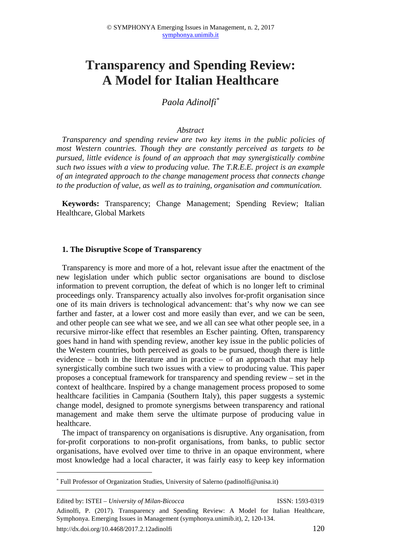# **Transparency and Spending Review: A Model for Italian Healthcare**

*Paola Adinolfi\**

## *Abstract*

*Transparency and spending review are two key items in the public policies of most Western countries. Though they are constantly perceived as targets to be pursued, little evidence is found of an approach that may synergistically combine such two issues with a view to producing value. The T.R.E.E. project is an example of an integrated approach to the change management process that connects change to the production of value, as well as to training, organisation and communication.* 

**Keywords:** Transparency; Change Management; Spending Review; Italian Healthcare, Global Markets

#### **1. The Disruptive Scope of Transparency**

Transparency is more and more of a hot, relevant issue after the enactment of the new legislation under which public sector organisations are bound to disclose information to prevent corruption, the defeat of which is no longer left to criminal proceedings only. Transparency actually also involves for-profit organisation since one of its main drivers is technological advancement: that's why now we can see farther and faster, at a lower cost and more easily than ever, and we can be seen, and other people can see what we see, and we all can see what other people see, in a recursive mirror-like effect that resembles an Escher painting. Often, transparency goes hand in hand with spending review, another key issue in the public policies of the Western countries, both perceived as goals to be pursued, though there is little evidence – both in the literature and in practice – of an approach that may help synergistically combine such two issues with a view to producing value. This paper proposes a conceptual framework for transparency and spending review – set in the context of healthcare. Inspired by a change management process proposed to some healthcare facilities in Campania (Southern Italy), this paper suggests a systemic change model, designed to promote synergisms between transparency and rational management and make them serve the ultimate purpose of producing value in healthcare.

The impact of transparency on organisations is disruptive. Any organisation, from for-profit corporations to non-profit organisations, from banks, to public sector organisations, have evolved over time to thrive in an opaque environment, where most knowledge had a local character, it was fairly easy to keep key information

 $\overline{a}$ 

<sup>\*</sup> Full Professor of Organization Studies, University of Salerno (padinolfi@unisa.it)

Edited by: ISTEI – *University of Milan-Bicocca* ISSN: 1593-0319

Adinolfi, P. (2017). Transparency and Spending Review: A Model for Italian Healthcare, Symphonya. Emerging Issues in Management (symphonya.unimib.it), 2, 120-134.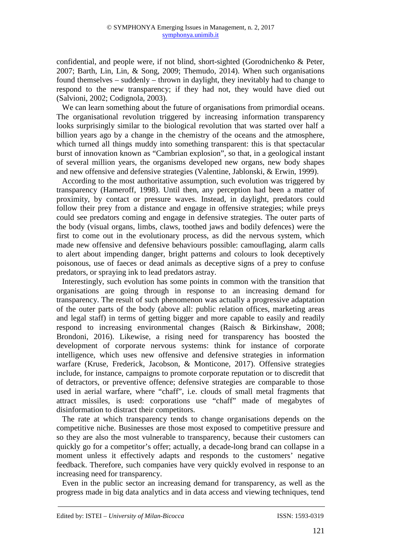confidential, and people were, if not blind, short-sighted (Gorodnichenko & Peter, 2007; Barth, Lin, Lin, & Song, 2009; Themudo, 2014). When such organisations found themselves – suddenly – thrown in daylight, they inevitably had to change to respond to the new transparency; if they had not, they would have died out (Salvioni, 2002; Codignola, 2003).

We can learn something about the future of organisations from primordial oceans. The organisational revolution triggered by increasing information transparency looks surprisingly similar to the biological revolution that was started over half a billion years ago by a change in the chemistry of the oceans and the atmosphere, which turned all things muddy into something transparent: this is that spectacular burst of innovation known as "Cambrian explosion", so that, in a geological instant of several million years, the organisms developed new organs, new body shapes and new offensive and defensive strategies (Valentine, Jablonski, & Erwin, 1999).

According to the most authoritative assumption, such evolution was triggered by transparency (Hameroff, 1998). Until then, any perception had been a matter of proximity, by contact or pressure waves. Instead, in daylight, predators could follow their prey from a distance and engage in offensive strategies; while preys could see predators coming and engage in defensive strategies. The outer parts of the body (visual organs, limbs, claws, toothed jaws and bodily defences) were the first to come out in the evolutionary process, as did the nervous system, which made new offensive and defensive behaviours possible: camouflaging, alarm calls to alert about impending danger, bright patterns and colours to look deceptively poisonous, use of faeces or dead animals as deceptive signs of a prey to confuse predators, or spraying ink to lead predators astray.

Interestingly, such evolution has some points in common with the transition that organisations are going through in response to an increasing demand for transparency. The result of such phenomenon was actually a progressive adaptation of the outer parts of the body (above all: public relation offices, marketing areas and legal staff) in terms of getting bigger and more capable to easily and readily respond to increasing environmental changes (Raisch & Birkinshaw, 2008; Brondoni, 2016). Likewise, a rising need for transparency has boosted the development of corporate nervous systems: think for instance of corporate intelligence, which uses new offensive and defensive strategies in information warfare (Kruse, Frederick, Jacobson, & Monticone, 2017). Offensive strategies include, for instance, campaigns to promote corporate reputation or to discredit that of detractors, or preventive offence; defensive strategies are comparable to those used in aerial warfare, where "chaff", i.e. clouds of small metal fragments that attract missiles, is used: corporations use "chaff" made of megabytes of disinformation to distract their competitors.

The rate at which transparency tends to change organisations depends on the competitive niche. Businesses are those most exposed to competitive pressure and so they are also the most vulnerable to transparency, because their customers can quickly go for a competitor's offer; actually, a decade-long brand can collapse in a moment unless it effectively adapts and responds to the customers' negative feedback. Therefore, such companies have very quickly evolved in response to an increasing need for transparency.

Even in the public sector an increasing demand for transparency, as well as the progress made in big data analytics and in data access and viewing techniques, tend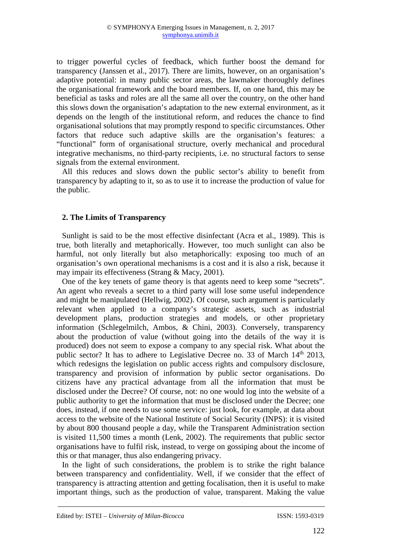to trigger powerful cycles of feedback, which further boost the demand for transparency (Janssen et al., 2017). There are limits, however, on an organisation's adaptive potential: in many public sector areas, the lawmaker thoroughly defines the organisational framework and the board members. If, on one hand, this may be beneficial as tasks and roles are all the same all over the country, on the other hand this slows down the organisation's adaptation to the new external environment, as it depends on the length of the institutional reform, and reduces the chance to find organisational solutions that may promptly respond to specific circumstances. Other factors that reduce such adaptive skills are the organisation's features: a "functional" form of organisational structure, overly mechanical and procedural integrative mechanisms, no third-party recipients, i.e. no structural factors to sense signals from the external environment.

All this reduces and slows down the public sector's ability to benefit from transparency by adapting to it, so as to use it to increase the production of value for the public.

## **2. The Limits of Transparency**

Sunlight is said to be the most effective disinfectant (Acra et al., 1989). This is true, both literally and metaphorically. However, too much sunlight can also be harmful, not only literally but also metaphorically: exposing too much of an organisation's own operational mechanisms is a cost and it is also a risk, because it may impair its effectiveness (Strang & Macy, 2001).

One of the key tenets of game theory is that agents need to keep some "secrets". An agent who reveals a secret to a third party will lose some useful independence and might be manipulated (Hellwig, 2002). Of course, such argument is particularly relevant when applied to a company's strategic assets, such as industrial development plans, production strategies and models, or other proprietary information (Schlegelmilch, Ambos, & Chini, 2003). Conversely, transparency about the production of value (without going into the details of the way it is produced) does not seem to expose a company to any special risk. What about the public sector? It has to adhere to Legislative Decree no. 33 of March 14<sup>th</sup> 2013, which redesigns the legislation on public access rights and compulsory disclosure, transparency and provision of information by public sector organisations. Do citizens have any practical advantage from all the information that must be disclosed under the Decree? Of course, not: no one would log into the website of a public authority to get the information that must be disclosed under the Decree; one does, instead, if one needs to use some service: just look, for example, at data about access to the website of the National Institute of Social Security (INPS): it is visited by about 800 thousand people a day, while the Transparent Administration section is visited 11,500 times a month (Lenk, 2002). The requirements that public sector organisations have to fulfil risk, instead, to verge on gossiping about the income of this or that manager, thus also endangering privacy.

In the light of such considerations, the problem is to strike the right balance between transparency and confidentiality. Well, if we consider that the effect of transparency is attracting attention and getting focalisation, then it is useful to make important things, such as the production of value, transparent. Making the value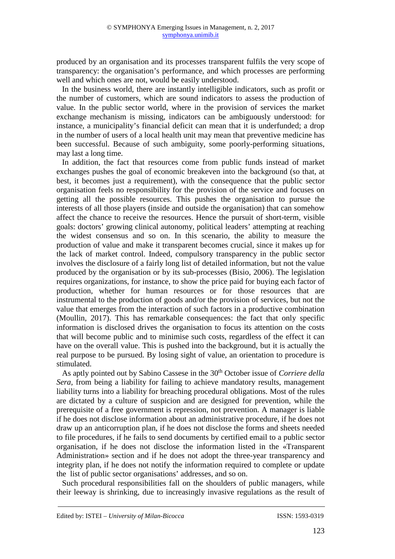produced by an organisation and its processes transparent fulfils the very scope of transparency: the organisation's performance, and which processes are performing well and which ones are not, would be easily understood.

In the business world, there are instantly intelligible indicators, such as profit or the number of customers, which are sound indicators to assess the production of value. In the public sector world, where in the provision of services the market exchange mechanism is missing, indicators can be ambiguously understood: for instance, a municipality's financial deficit can mean that it is underfunded; a drop in the number of users of a local health unit may mean that preventive medicine has been successful. Because of such ambiguity, some poorly-performing situations, may last a long time.

In addition, the fact that resources come from public funds instead of market exchanges pushes the goal of economic breakeven into the background (so that, at best, it becomes just a requirement), with the consequence that the public sector organisation feels no responsibility for the provision of the service and focuses on getting all the possible resources. This pushes the organisation to pursue the interests of all those players (inside and outside the organisation) that can somehow affect the chance to receive the resources. Hence the pursuit of short-term, visible goals: doctors' growing clinical autonomy, political leaders' attempting at reaching the widest consensus and so on. In this scenario, the ability to measure the production of value and make it transparent becomes crucial, since it makes up for the lack of market control. Indeed, compulsory transparency in the public sector involves the disclosure of a fairly long list of detailed information, but not the value produced by the organisation or by its sub-processes (Bisio, 2006). The legislation requires organizations, for instance, to show the price paid for buying each factor of production, whether for human resources or for those resources that are instrumental to the production of goods and/or the provision of services, but not the value that emerges from the interaction of such factors in a productive combination (Moullin, 2017). This has remarkable consequences: the fact that only specific information is disclosed drives the organisation to focus its attention on the costs that will become public and to minimise such costs, regardless of the effect it can have on the overall value. This is pushed into the background, but it is actually the real purpose to be pursued. By losing sight of value, an orientation to procedure is stimulated.

As aptly pointed out by Sabino Cassese in the 30<sup>th</sup> October issue of *Corriere della Sera*, from being a liability for failing to achieve mandatory results, management liability turns into a liability for breaching procedural obligations. Most of the rules are dictated by a culture of suspicion and are designed for prevention, while the prerequisite of a free government is repression, not prevention. A manager is liable if he does not disclose information about an administrative procedure, if he does not draw up an anticorruption plan, if he does not disclose the forms and sheets needed to file procedures, if he fails to send documents by certified email to a public sector organisation, if he does not disclose the information listed in the «Transparent Administration» section and if he does not adopt the three-year transparency and integrity plan, if he does not notify the information required to complete or update the list of public sector organisations' addresses, and so on.

Such procedural responsibilities fall on the shoulders of public managers, while their leeway is shrinking, due to increasingly invasive regulations as the result of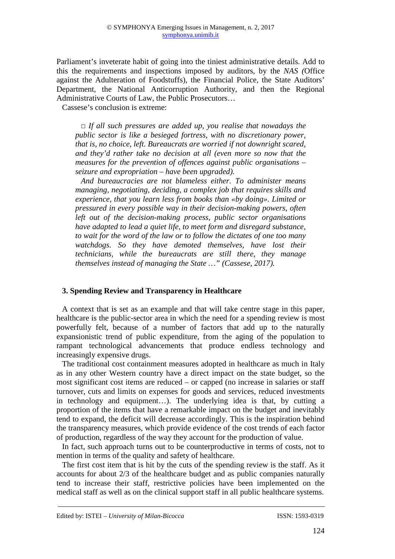Parliament's inveterate habit of going into the tiniest administrative details. Add to this the requirements and inspections imposed by auditors, by the *NAS (*Office against the Adulteration of Foodstuffs), the Financial Police, the State Auditors' Department, the National Anticorruption Authority, and then the Regional Administrative Courts of Law, the Public Prosecutors…

Cassese's conclusion is extreme:

*□ If all such pressures are added up, you realise that nowadays the public sector is like a besieged fortress, with no discretionary power, that is, no choice, left. Bureaucrats are worried if not downright scared, and they'd rather take no decision at all (even more so now that the measures for the prevention of offences against public organisations – seizure and expropriation – have been upgraded).* 

*And bureaucracies are not blameless either. To administer means managing, negotiating, deciding, a complex job that requires skills and experience, that you learn less from books than «by doing». Limited or pressured in every possible way in their decision-making powers, often left out of the decision-making process, public sector organisations have adapted to lead a quiet life, to meet form and disregard substance, to wait for the word of the law or to follow the dictates of one too many*  watchdogs. So they have demoted themselves, have lost their *technicians, while the bureaucrats are still there, they manage themselves instead of managing the State …" (Cassese, 2017).*

## **3. Spending Review and Transparency in Healthcare**

A context that is set as an example and that will take centre stage in this paper, healthcare is the public-sector area in which the need for a spending review is most powerfully felt, because of a number of factors that add up to the naturally expansionistic trend of public expenditure, from the aging of the population to rampant technological advancements that produce endless technology and increasingly expensive drugs.

The traditional cost containment measures adopted in healthcare as much in Italy as in any other Western country have a direct impact on the state budget, so the most significant cost items are reduced – or capped (no increase in salaries or staff turnover, cuts and limits on expenses for goods and services, reduced investments in technology and equipment…). The underlying idea is that, by cutting a proportion of the items that have a remarkable impact on the budget and inevitably tend to expand, the deficit will decrease accordingly. This is the inspiration behind the transparency measures, which provide evidence of the cost trends of each factor of production, regardless of the way they account for the production of value.

In fact, such approach turns out to be counterproductive in terms of costs, not to mention in terms of the quality and safety of healthcare.

The first cost item that is hit by the cuts of the spending review is the staff. As it accounts for about 2/3 of the healthcare budget and as public companies naturally tend to increase their staff, restrictive policies have been implemented on the medical staff as well as on the clinical support staff in all public healthcare systems.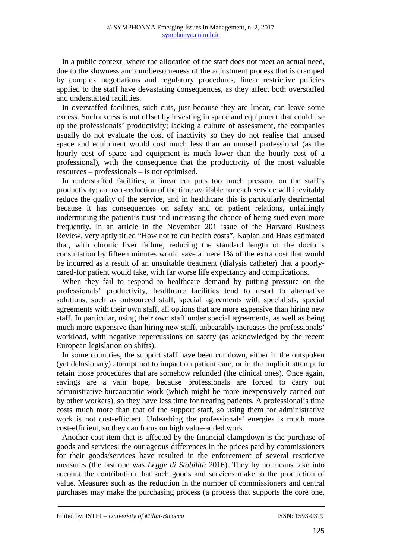In a public context, where the allocation of the staff does not meet an actual need, due to the slowness and cumbersomeness of the adjustment process that is cramped by complex negotiations and regulatory procedures, linear restrictive policies applied to the staff have devastating consequences, as they affect both overstaffed and understaffed facilities.

In overstaffed facilities, such cuts, just because they are linear, can leave some excess. Such excess is not offset by investing in space and equipment that could use up the professionals' productivity; lacking a culture of assessment, the companies usually do not evaluate the cost of inactivity so they do not realise that unused space and equipment would cost much less than an unused professional (as the hourly cost of space and equipment is much lower than the hourly cost of a professional), with the consequence that the productivity of the most valuable resources – professionals – is not optimised.

In understaffed facilities, a linear cut puts too much pressure on the staff's productivity: an over-reduction of the time available for each service will inevitably reduce the quality of the service, and in healthcare this is particularly detrimental because it has consequences on safety and on patient relations, unfailingly undermining the patient's trust and increasing the chance of being sued even more frequently. In an article in the November 201 issue of the Harvard Business Review, very aptly titled "How not to cut health costs", Kaplan and Haas estimated that, with chronic liver failure, reducing the standard length of the doctor's consultation by fifteen minutes would save a mere 1% of the extra cost that would be incurred as a result of an unsuitable treatment (dialysis catheter) that a poorlycared-for patient would take, with far worse life expectancy and complications.

When they fail to respond to healthcare demand by putting pressure on the professionals' productivity, healthcare facilities tend to resort to alternative solutions, such as outsourced staff, special agreements with specialists, special agreements with their own staff, all options that are more expensive than hiring new staff. In particular, using their own staff under special agreements, as well as being much more expensive than hiring new staff, unbearably increases the professionals' workload, with negative repercussions on safety (as acknowledged by the recent European legislation on shifts).

In some countries, the support staff have been cut down, either in the outspoken (yet delusionary) attempt not to impact on patient care, or in the implicit attempt to retain those procedures that are somehow refunded (the clinical ones). Once again, savings are a vain hope, because professionals are forced to carry out administrative-bureaucratic work (which might be more inexpensively carried out by other workers), so they have less time for treating patients. A professional's time costs much more than that of the support staff, so using them for administrative work is not cost-efficient. Unleashing the professionals' energies is much more cost-efficient, so they can focus on high value-added work.

Another cost item that is affected by the financial clampdown is the purchase of goods and services: the outrageous differences in the prices paid by commissioners for their goods/services have resulted in the enforcement of several restrictive measures (the last one was *Legge di Stabilità* 2016). They by no means take into account the contribution that such goods and services make to the production of value. Measures such as the reduction in the number of commissioners and central purchases may make the purchasing process (a process that supports the core one,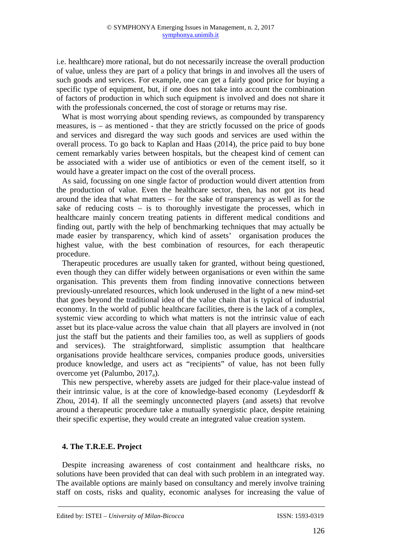i.e. healthcare) more rational, but do not necessarily increase the overall production of value, unless they are part of a policy that brings in and involves all the users of such goods and services. For example, one can get a fairly good price for buying a specific type of equipment, but, if one does not take into account the combination of factors of production in which such equipment is involved and does not share it with the professionals concerned, the cost of storage or returns may rise.

What is most worrying about spending reviews, as compounded by transparency measures, is – as mentioned - that they are strictly focussed on the price of goods and services and disregard the way such goods and services are used within the overall process. To go back to Kaplan and Haas (2014), the price paid to buy bone cement remarkably varies between hospitals, but the cheapest kind of cement can be associated with a wider use of antibiotics or even of the cement itself, so it would have a greater impact on the cost of the overall process.

As said, focussing on one single factor of production would divert attention from the production of value. Even the healthcare sector, then, has not got its head around the idea that what matters – for the sake of transparency as well as for the sake of reducing costs – is to thoroughly investigate the processes, which in healthcare mainly concern treating patients in different medical conditions and finding out, partly with the help of benchmarking techniques that may actually be made easier by transparency, which kind of assets' organisation produces the highest value, with the best combination of resources, for each therapeutic procedure.

Therapeutic procedures are usually taken for granted, without being questioned, even though they can differ widely between organisations or even within the same organisation. This prevents them from finding innovative connections between previously-unrelated resources, which look underused in the light of a new mind-set that goes beyond the traditional idea of the value chain that is typical of industrial economy. In the world of public healthcare facilities, there is the lack of a complex, systemic view according to which what matters is not the intrinsic value of each asset but its place-value across the value chain that all players are involved in (not just the staff but the patients and their families too, as well as suppliers of goods and services). The straightforward, simplistic assumption that healthcare organisations provide healthcare services, companies produce goods, universities produce knowledge, and users act as "recipients" of value, has not been fully overcome yet (Palumbo, 2017a).

This new perspective, whereby assets are judged for their place-value instead of their intrinsic value, is at the core of knowledge-based economy (Leydesdorff & Zhou, 2014). If all the seemingly unconnected players (and assets) that revolve around a therapeutic procedure take a mutually synergistic place, despite retaining their specific expertise, they would create an integrated value creation system.

## **4. The T.R.E.E. Project**

Despite increasing awareness of cost containment and healthcare risks, no solutions have been provided that can deal with such problem in an integrated way. The available options are mainly based on consultancy and merely involve training staff on costs, risks and quality, economic analyses for increasing the value of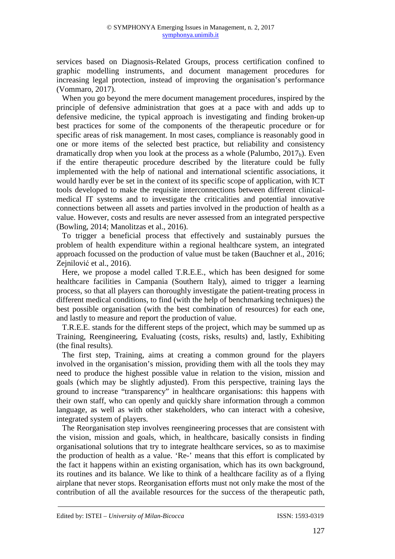services based on Diagnosis-Related Groups, process certification confined to graphic modelling instruments, and document management procedures for increasing legal protection, instead of improving the organisation's performance (Vommaro, 2017).

When you go beyond the mere document management procedures, inspired by the principle of defensive administration that goes at a pace with and adds up to defensive medicine, the typical approach is investigating and finding broken-up best practices for some of the components of the therapeutic procedure or for specific areas of risk management. In most cases, compliance is reasonably good in one or more items of the selected best practice, but reliability and consistency dramatically drop when you look at the process as a whole (Palumbo,  $2017<sub>b</sub>$ ). Even if the entire therapeutic procedure described by the literature could be fully implemented with the help of national and international scientific associations, it would hardly ever be set in the context of its specific scope of application, with ICT tools developed to make the requisite interconnections between different clinicalmedical IT systems and to investigate the criticalities and potential innovative connections between all assets and parties involved in the production of health as a value. However, costs and results are never assessed from an integrated perspective (Bowling, 2014; Manolitzas et al., 2016).

To trigger a beneficial process that effectively and sustainably pursues the problem of health expenditure within a regional healthcare system, an integrated approach focussed on the production of value must be taken (Bauchner et al., 2016; Zejnilović et al., 2016).

Here, we propose a model called T.R.E.E., which has been designed for some healthcare facilities in Campania (Southern Italy), aimed to trigger a learning process, so that all players can thoroughly investigate the patient-treating process in different medical conditions, to find (with the help of benchmarking techniques) the best possible organisation (with the best combination of resources) for each one, and lastly to measure and report the production of value.

T.R.E.E. stands for the different steps of the project, which may be summed up as Training, Reengineering, Evaluating (costs, risks, results) and, lastly, Exhibiting (the final results).

The first step, Training, aims at creating a common ground for the players involved in the organisation's mission, providing them with all the tools they may need to produce the highest possible value in relation to the vision, mission and goals (which may be slightly adjusted). From this perspective, training lays the ground to increase "transparency" in healthcare organisations: this happens with their own staff, who can openly and quickly share information through a common language, as well as with other stakeholders, who can interact with a cohesive, integrated system of players.

The Reorganisation step involves reengineering processes that are consistent with the vision, mission and goals, which, in healthcare, basically consists in finding organisational solutions that try to integrate healthcare services, so as to maximise the production of health as a value. 'Re-' means that this effort is complicated by the fact it happens within an existing organisation, which has its own background, its routines and its balance. We like to think of a healthcare facility as of a flying airplane that never stops. Reorganisation efforts must not only make the most of the contribution of all the available resources for the success of the therapeutic path,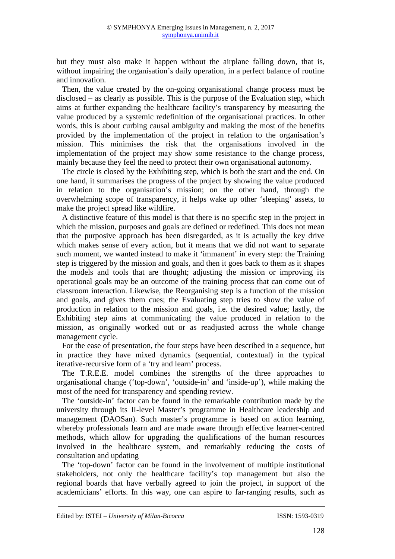but they must also make it happen without the airplane falling down, that is, without impairing the organisation's daily operation, in a perfect balance of routine and innovation.

Then, the value created by the on-going organisational change process must be disclosed – as clearly as possible. This is the purpose of the Evaluation step, which aims at further expanding the healthcare facility's transparency by measuring the value produced by a systemic redefinition of the organisational practices. In other words, this is about curbing causal ambiguity and making the most of the benefits provided by the implementation of the project in relation to the organisation's mission. This minimises the risk that the organisations involved in the implementation of the project may show some resistance to the change process, mainly because they feel the need to protect their own organisational autonomy.

The circle is closed by the Exhibiting step, which is both the start and the end. On one hand, it summarises the progress of the project by showing the value produced in relation to the organisation's mission; on the other hand, through the overwhelming scope of transparency, it helps wake up other 'sleeping' assets, to make the project spread like wildfire.

A distinctive feature of this model is that there is no specific step in the project in which the mission, purposes and goals are defined or redefined. This does not mean that the purposive approach has been disregarded, as it is actually the key drive which makes sense of every action, but it means that we did not want to separate such moment, we wanted instead to make it 'immanent' in every step: the Training step is triggered by the mission and goals, and then it goes back to them as it shapes the models and tools that are thought; adjusting the mission or improving its operational goals may be an outcome of the training process that can come out of classroom interaction. Likewise, the Reorganising step is a function of the mission and goals, and gives them cues; the Evaluating step tries to show the value of production in relation to the mission and goals, i.e. the desired value; lastly, the Exhibiting step aims at communicating the value produced in relation to the mission, as originally worked out or as readjusted across the whole change management cycle.

For the ease of presentation, the four steps have been described in a sequence, but in practice they have mixed dynamics (sequential, contextual) in the typical iterative-recursive form of a 'try and learn' process.

The T.R.E.E. model combines the strengths of the three approaches to organisational change ('top-down', 'outside-in' and 'inside-up'), while making the most of the need for transparency and spending review.

The 'outside-in' factor can be found in the remarkable contribution made by the university through its II-level Master's programme in Healthcare leadership and management (DAOSan). Such master's programme is based on action learning, whereby professionals learn and are made aware through effective learner-centred methods, which allow for upgrading the qualifications of the human resources involved in the healthcare system, and remarkably reducing the costs of consultation and updating

The 'top-down' factor can be found in the involvement of multiple institutional stakeholders, not only the healthcare facility's top management but also the regional boards that have verbally agreed to join the project, in support of the academicians' efforts. In this way, one can aspire to far-ranging results, such as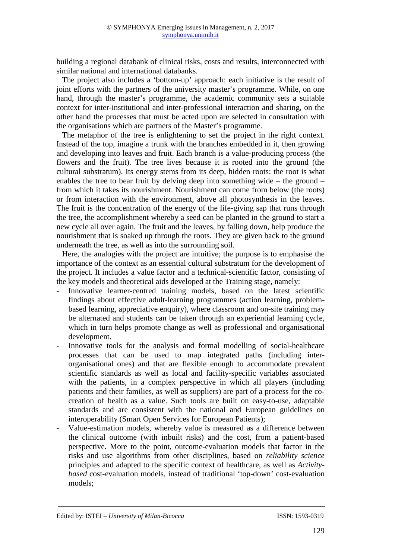building a regional databank of clinical risks, costs and results, interconnected with similar national and international databanks.

The project also includes a 'bottom-up' approach: each initiative is the result of joint efforts with the partners of the university master's programme. While, on one hand, through the master's programme, the academic community sets a suitable context for inter-institutional and inter-professional interaction and sharing, on the other hand the processes that must be acted upon are selected in consultation with the organisations which are partners of the Master's programme.

The metaphor of the tree is enlightening to set the project in the right context. Instead of the top, imagine a trunk with the branches embedded in it, then growing and developing into leaves and fruit. Each branch is a value-producing process (the flowers and the fruit). The tree lives because it is rooted into the ground (the cultural substratum). Its energy stems from its deep, hidden roots: the root is what enables the tree to bear fruit by delving deep into something wide – the ground – from which it takes its nourishment. Nourishment can come from below (the roots) or from interaction with the environment, above all photosynthesis in the leaves. The fruit is the concentration of the energy of the life-giving sap that runs through the tree, the accomplishment whereby a seed can be planted in the ground to start a new cycle all over again. The fruit and the leaves, by falling down, help produce the nourishment that is soaked up through the roots. They are given back to the ground underneath the tree, as well as into the surrounding soil.

Here, the analogies with the project are intuitive; the purpose is to emphasise the importance of the context as an essential cultural substratum for the development of the project. It includes a value factor and a technical-scientific factor, consisting of the key models and theoretical aids developed at the Training stage, namely:

- Innovative learner-centred training models, based on the latest scientific findings about effective adult-learning programmes (action learning, problembased learning, appreciative enquiry), where classroom and on-site training may be alternated and students can be taken through an experiential learning cycle, which in turn helps promote change as well as professional and organisational development.
- Innovative tools for the analysis and formal modelling of social-healthcare processes that can be used to map integrated paths (including interorganisational ones) and that are flexible enough to accommodate prevalent scientific standards as well as local and facility-specific variables associated with the patients, in a complex perspective in which all players (including patients and their families, as well as suppliers) are part of a process for the cocreation of health as a value. Such tools are built on easy-to-use, adaptable standards and are consistent with the national and European guidelines on interoperability (Smart Open Services for European Patients);
- Value-estimation models, whereby value is measured as a difference between the clinical outcome (with inbuilt risks) and the cost, from a patient-based perspective. More to the point, outcome-evaluation models that factor in the risks and use algorithms from other disciplines, based on *reliability science* principles and adapted to the specific context of healthcare, as well as *Activitybased* cost-evaluation models, instead of traditional 'top-down' cost-evaluation models;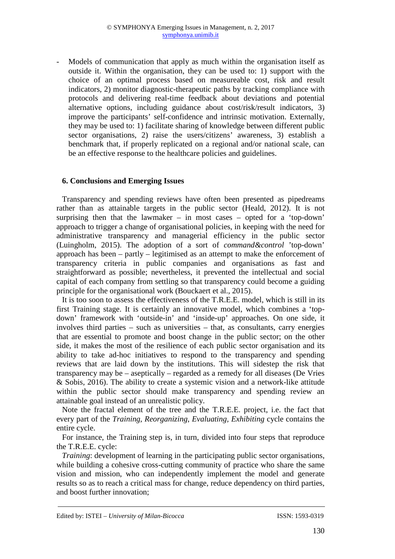- Models of communication that apply as much within the organisation itself as outside it. Within the organisation, they can be used to: 1) support with the choice of an optimal process based on measureable cost, risk and result indicators, 2) monitor diagnostic-therapeutic paths by tracking compliance with protocols and delivering real-time feedback about deviations and potential alternative options, including guidance about cost/risk/result indicators, 3) improve the participants' self-confidence and intrinsic motivation. Externally, they may be used to: 1) facilitate sharing of knowledge between different public sector organisations, 2) raise the users/citizens' awareness, 3) establish a benchmark that, if properly replicated on a regional and/or national scale, can be an effective response to the healthcare policies and guidelines.

## **6. Conclusions and Emerging Issues**

Transparency and spending reviews have often been presented as pipedreams rather than as attainable targets in the public sector (Heald, 2012). It is not surprising then that the lawmaker – in most cases – opted for a 'top-down' approach to trigger a change of organisational policies, in keeping with the need for administrative transparency and managerial efficiency in the public sector (Luingholm, 2015). The adoption of a sort of *command&control* 'top-down' approach has been – partly – legitimised as an attempt to make the enforcement of transparency criteria in public companies and organisations as fast and straightforward as possible; nevertheless, it prevented the intellectual and social capital of each company from settling so that transparency could become a guiding principle for the organisational work (Bouckaert et al., 2015).

It is too soon to assess the effectiveness of the T.R.E.E. model, which is still in its first Training stage. It is certainly an innovative model, which combines a 'topdown' framework with 'outside-in' and 'inside-up' approaches. On one side, it involves third parties – such as universities – that, as consultants, carry energies that are essential to promote and boost change in the public sector; on the other side, it makes the most of the resilience of each public sector organisation and its ability to take ad-hoc initiatives to respond to the transparency and spending reviews that are laid down by the institutions. This will sidestep the risk that transparency may be – aseptically – regarded as a remedy for all diseases (De Vries & Sobis, 2016). The ability to create a systemic vision and a network-like attitude within the public sector should make transparency and spending review an attainable goal instead of an unrealistic policy.

Note the fractal element of the tree and the T.R.E.E. project, i.e. the fact that every part of the *Training, Reorganizing, Evaluating, Exhibiting* cycle contains the entire cycle.

For instance, the Training step is, in turn, divided into four steps that reproduce the T.R.E.E. cycle:

*Training*: development of learning in the participating public sector organisations, while building a cohesive cross-cutting community of practice who share the same vision and mission, who can independently implement the model and generate results so as to reach a critical mass for change, reduce dependency on third parties, and boost further innovation;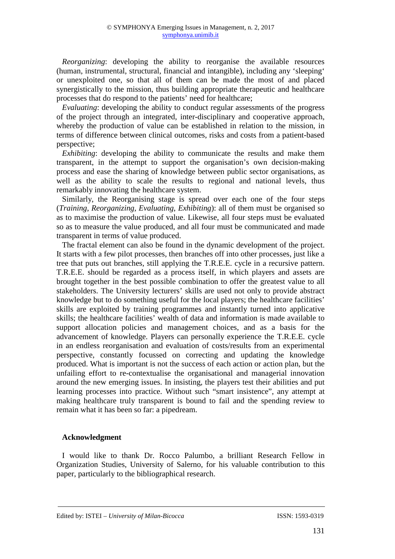*Reorganizing*: developing the ability to reorganise the available resources (human, instrumental, structural, financial and intangible), including any 'sleeping' or unexploited one, so that all of them can be made the most of and placed synergistically to the mission, thus building appropriate therapeutic and healthcare processes that do respond to the patients' need for healthcare;

*Evaluating*: developing the ability to conduct regular assessments of the progress of the project through an integrated, inter-disciplinary and cooperative approach, whereby the production of value can be established in relation to the mission, in terms of difference between clinical outcomes, risks and costs from a patient-based perspective;

*Exhibiting*: developing the ability to communicate the results and make them transparent, in the attempt to support the organisation's own decision-making process and ease the sharing of knowledge between public sector organisations, as well as the ability to scale the results to regional and national levels, thus remarkably innovating the healthcare system.

Similarly, the Reorganising stage is spread over each one of the four steps (*Training*, *Reorganizing*, *Evaluating*, *Exhibiting*): all of them must be organised so as to maximise the production of value. Likewise, all four steps must be evaluated so as to measure the value produced, and all four must be communicated and made transparent in terms of value produced.

The fractal element can also be found in the dynamic development of the project. It starts with a few pilot processes, then branches off into other processes, just like a tree that puts out branches, still applying the T.R.E.E. cycle in a recursive pattern. T.R.E.E. should be regarded as a process itself, in which players and assets are brought together in the best possible combination to offer the greatest value to all stakeholders. The University lecturers' skills are used not only to provide abstract knowledge but to do something useful for the local players; the healthcare facilities' skills are exploited by training programmes and instantly turned into applicative skills; the healthcare facilities' wealth of data and information is made available to support allocation policies and management choices, and as a basis for the advancement of knowledge. Players can personally experience the T.R.E.E. cycle in an endless reorganisation and evaluation of costs/results from an experimental perspective, constantly focussed on correcting and updating the knowledge produced. What is important is not the success of each action or action plan, but the unfailing effort to re-contextualise the organisational and managerial innovation around the new emerging issues. In insisting, the players test their abilities and put learning processes into practice. Without such "smart insistence", any attempt at making healthcare truly transparent is bound to fail and the spending review to remain what it has been so far: a pipedream.

## **Acknowledgment**

I would like to thank Dr. Rocco Palumbo, a brilliant Research Fellow in Organization Studies, University of Salerno, for his valuable contribution to this paper, particularly to the bibliographical research.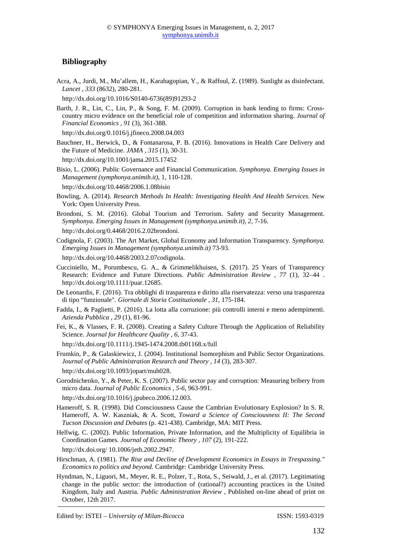## **Bibliography**

Acra, A., Jurdi, M., Mu'allem, H., Karahagopian, Y., & Raffoul, Z. (1989). Sunlight as disinfectant. *Lancet , 333* (8632), 280-281.

http://dx.doi.org/10.1016/S0140-6736(89)91293-2

Barth, J. R., Lin, C., Lin, P., & Song, F. M. (2009). Corruption in bank lending to firms: Crosscountry micro evidence on the beneficial role of competition and information sharing. *Journal of Financial Economics , 91* (3), 361-388.

http://dx.doi.org/0.1016/j.jfineco.2008.04.003

Bauchner, H., Berwick, D., & Fontanarosa, P. B. (2016). Innovations in Health Care Delivery and the Future of Medicine. *JAMA , 315* (1), 30-31.

http://dx.doi.org/10.1001/jama.2015.17452

- Bisio, L. (2006). Public Governance and Financial Communication. *Symphonya. Emerging Issues in Management (symphonya.unimib.it)*, 1, 110-128.
- http://dx.doi.org/10.4468/2006.1.08bisio
- Bowling, A. (2014). *Research Methods In Health: Investigating Health And Health Services.* New York: Open University Press.
- Brondoni, S. M. (2016). Global Tourism and Terrorism. Safety and Security Management. *Symphonya. Emerging Issues in Management (symphonya.unimib.it), 2*, 7-16. http://dx.doi.org/0.4468/2016.2.02brondoni.
- Codignola, F. (2003). The Art Market, Global Economy and Information Transparency. *Symphonya. Emerging Issues in Management (symphonya.unimib.it)* 73-93.
- http://dx.doi.org/10.4468/2003.2.07codignola.
- Cucciniello, M., Porumbescu, G. A., & Grimmelikhuisen, S. (2017). 25 Years of Transparency Research: Evidence and Future Directions. *Public Administration Review , 77* (1), 32–44 . http://dx.doi.org/10.1111/puar.12685.
- De Leonardis, F. (2016). Tra obblighi di trasparenza e diritto alla riservatezza: verso una trasparenza di tipo "funzionale". *Giornale di Storia Costituzionale , 31*, 175-184.
- Fadda, I., & Paglietti, P. (2016). La lotta alla corruzione: più controlli interni e meno adempimenti. *Azienda Pubblica , 29* (1), 81-96.
- Fei, K., & Vlasses, F. R. (2008). Creating a Safety Culture Through the Application of Reliability Science. *Journal for Healthcare Quality , 6*, 37-43.
	- http://dx.doi.org/10.1111/j.1945-1474.2008.tb01168.x/full
- Frumkin, P., & Galaskiewicz, J. (2004). Institutional Isomorphism and Public Sector Organizations. *Journal of Public Administration Research and Theory , 14* (3), 283-307.
- http://dx.doi.org/10.1093/jopart/muh028.
- Gorodnichenko, Y., & Peter, K. S. (2007). Public sector pay and corruption: Measuring bribery from micro data. *Journal of Public Economics , 5-6*, 963-991.
- http://dx.doi.org/10.1016/j.jpubeco.2006.12.003.
- Hameroff, S. R. (1998). Did Consciousness Cause the Cambrian Evolutionary Explosion? In S. R. Hameroff, A. W. Kaszniak, & A. Scott, *Toward a Science of Consciousness II: The Second Tucson Discussion and Debates* (p. 421-438). Cambridge, MA: MIT Press.
- Hellwig, C. (2002). Public Information, Private Information, and the Multiplicity of Equilibria in Coordination Games. *Journal of Economic Theory , 107* (2), 191-222.

http://dx.doi.org/ 10.1006/jeth.2002.2947.

- Hirschman, A. (1981). *The Rise and Decline of Development Economics in Essays in Trespassing." Economics to politics and beyond.* Cambridge: Cambridge University Press.
- Hyndman, N., Liguori, M., Meyer, R. E., Polzer, T., Rota, S., Seiwald, J., et al. (2017). Legitimating change in the public sector: the introduction of (rational?) accounting practices in the United Kingdom, Italy and Austria. *Public Administration Review* , Published on-line ahead of print on October, 12th 2017.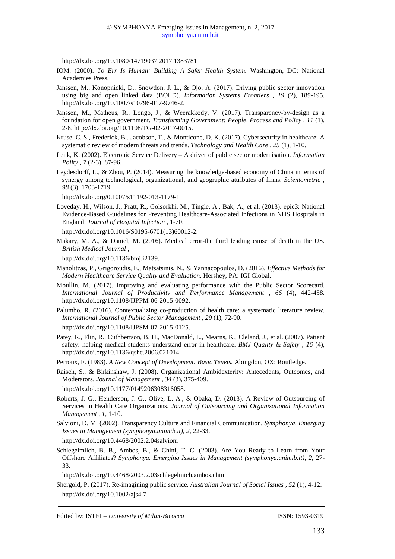http://dx.doi.org/10.1080/14719037.2017.1383781

- IOM. (2000). *To Err Is Human: Building A Safer Health System.* Washington, DC: National Academies Press.
- Janssen, M., Konopnicki, D., Snowdon, J. L., & Ojo, A. (2017). Driving public sector innovation using big and open linked data (BOLD). *Information Systems Frontiers , 19* (2), 189-195. http://dx.doi.org/10.1007/s10796-017-9746-2.
- Janssen, M., Matheus, R., Longo, J., & Weerakkody, V. (2017). Transparency-by-design as a foundation for open government. *Transforming Government: People, Process and Policy , 11* (1), 2-8. http://dx.doi.org/10.1108/TG-02-2017-0015.
- Kruse, C. S., Frederick, B., Jacobson, T., & Monticone, D. K. (2017). Cybersecurity in healthcare: A systematic review of modern threats and trends. *Technology and Health Care , 25* (1), 1-10.
- Lenk, K. (2002). Electronic Service Delivery A driver of public sector modernisation. *Information Polity , 7* (2-3), 87-96.
- Leydesdorff, L., & Zhou, P. (2014). Measuring the knowledge-based economy of China in terms of synergy among technological, organizational, and geographic attributes of firms. *Scientometric , 98* (3), 1703-1719.

http://dx.doi.org/0.1007/s11192-013-1179-1

Loveday, H., Wilson, J., Pratt, R., Golsorkhi, M., Tingle, A., Bak, A., et al. (2013). epic3: National Evidence-Based Guidelines for Preventing Healthcare-Associated Infections in NHS Hospitals in England. *Journal of Hospital Infection* , 1-70.

http://dx.doi.org/10.1016/S0195-6701(13)60012-2.

Makary, M. A., & Daniel, M. (2016). Medical error-the third leading cause of death in the US. *British Medical Journal* ,

http://dx.doi.org/10.1136/bmj.i2139.

- Manolitzas, P., Grigoroudis, E., Matsatsinis, N., & Yannacopoulos, D. (2016). *Effective Methods for Modern Healthcare Service Quality and Evaluation.* Hershey, PA: IGI Global.
- Moullin, M. (2017). Improving and evaluating performance with the Public Sector Scorecard. *International Journal of Productivity and Performance Management , 66* (4), 442-458. http://dx.doi.org/10.1108/IJPPM-06-2015-0092.
- Palumbo, R. (2016). Contextualizing co-production of health care: a systematic literature review. *International Journal of Public Sector Management , 29* (1), 72-90.

http://dx.doi.org/10.1108/IJPSM-07-2015-0125.

Patey, R., Flin, R., Cuthbertson, B. H., MacDonald, L., Mearns, K., Cleland, J., et al. (2007). Patient safety: helping medical students understand error in healthcare. *BMJ Quality & Safety , 16* (4), http://dx.doi.org/10.1136/qshc.2006.021014.

Perroux, F. (1983). *A New Concept of Development: Basic Tenets.* Abingdon, OX: Routledge.

Raisch, S., & Birkinshaw, J. (2008). Organizational Ambidexterity: Antecedents, Outcomes, and Moderators. *Journal of Management , 34* (3), 375-409.

http://dx.doi.org/10.1177/0149206308316058.

- Roberts, J. G., Henderson, J. G., Olive, L. A., & Obaka, D. (2013). A Review of Outsourcing of Services in Health Care Organizations. *Journal of Outsourcing and Organizational Information Management , 1*, 1-10.
- Salvioni, D. M. (2002). Transparency Culture and Financial Communication. *Symphonya. Emerging Issues in Management (symphonya.unimib.it), 2,* 22-33.

http://dx.doi.org/10.4468/2002.2.04salvioni

Schlegelmilch, B. B., Ambos, B., & Chini, T. C. (2003). Are You Ready to Learn from Your Offshore Affiliates? *Symphonya. Emerging Issues in Management (symphonya.unimib.it), 2*, 27- 33.

http://dx.doi.org/10.4468/2003.2.03schlegelmich.ambos.chini

Shergold, P. (2017). Re-imagining public service. *Australian Journal of Social Issues , 52* (1), 4-12. http://dx.doi.org/10.1002/ajs4.7.